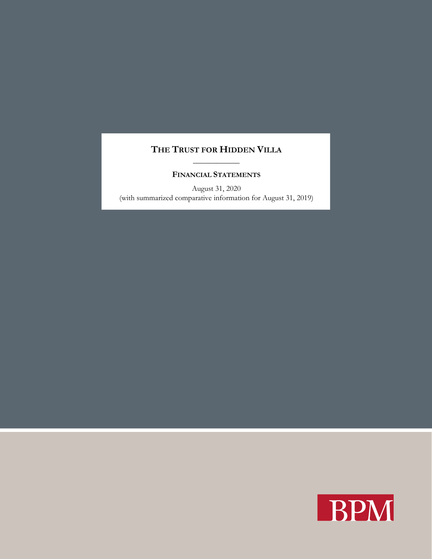# **THE TRUST FOR HIDDEN VILLA** \_\_\_\_\_\_\_\_\_\_\_\_

## **FINANCIAL STATEMENTS**

August 31, 2020 (with summarized comparative information for August 31, 2019)

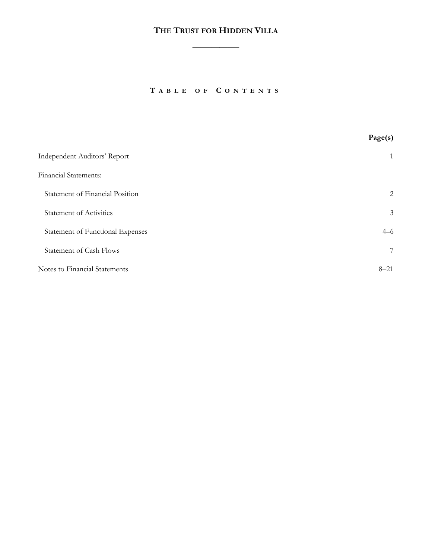$\overline{\phantom{a}}$ 

**T ABLE OF C ONTENTS**

|                                  | Page(s)  |
|----------------------------------|----------|
| Independent Auditors' Report     | 1        |
| <b>Financial Statements:</b>     |          |
| Statement of Financial Position  | 2        |
| <b>Statement of Activities</b>   | 3        |
| Statement of Functional Expenses | $4 - 6$  |
| <b>Statement of Cash Flows</b>   | 7        |
| Notes to Financial Statements    | $8 - 21$ |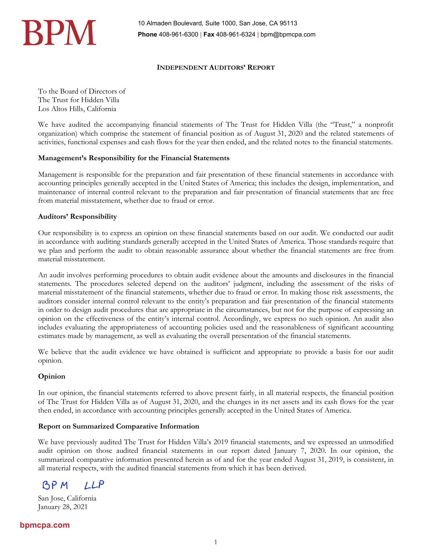

## **INDEPENDENT AUDITORS' REPORT**

To the Board of Directors of The Trust for Hidden Villa Los Altos Hills, California

We have audited the accompanying financial statements of The Trust for Hidden Villa (the "Trust," a nonprofit organization) which comprise the statement of financial position as of August 31, 2020 and the related statements of activities, functional expenses and cash flows for the year then ended, and the related notes to the financial statements.

## **Management's Responsibility for the Financial Statements**

Management is responsible for the preparation and fair presentation of these financial statements in accordance with accounting principles generally accepted in the United States of America; this includes the design, implementation, and maintenance of internal control relevant to the preparation and fair presentation of financial statements that are free from material misstatement, whether due to fraud or error.

## **Auditors' Responsibility**

Our responsibility is to express an opinion on these financial statements based on our audit. We conducted our audit in accordance with auditing standards generally accepted in the United States of America. Those standards require that we plan and perform the audit to obtain reasonable assurance about whether the financial statements are free from material misstatement.

An audit involves performing procedures to obtain audit evidence about the amounts and disclosures in the financial statements. The procedures selected depend on the auditors' judgment, including the assessment of the risks of material misstatement of the financial statements, whether due to fraud or error. In making those risk assessments, the auditors consider internal control relevant to the entity's preparation and fair presentation of the financial statements in order to design audit procedures that are appropriate in the circumstances, but not for the purpose of expressing an opinion on the effectiveness of the entity's internal control. Accordingly, we express no such opinion. An audit also includes evaluating the appropriateness of accounting policies used and the reasonableness of significant accounting estimates made by management, as well as evaluating the overall presentation of the financial statements.

We believe that the audit evidence we have obtained is sufficient and appropriate to provide a basis for our audit opinion.

## **Opinion**

In our opinion, the financial statements referred to above present fairly, in all material respects, the financial position of The Trust for Hidden Villa as of August 31, 2020, and the changes in its net assets and its cash flows for the year then ended, in accordance with accounting principles generally accepted in the United States of America.

### **Report on Summarized Comparative Information**

We have previously audited The Trust for Hidden Villa's 2019 financial statements, and we expressed an unmodified audit opinion on those audited financial statements in our report dated January 7, 2020. In our opinion, the summarized comparative information presented herein as of and for the year ended August 31, 2019, is consistent, in all material respects, with the audited financial statements from which it has been derived.

BP M  $LLP$ 

San Jose, California January 28, 2021

## **bpmcpa.com**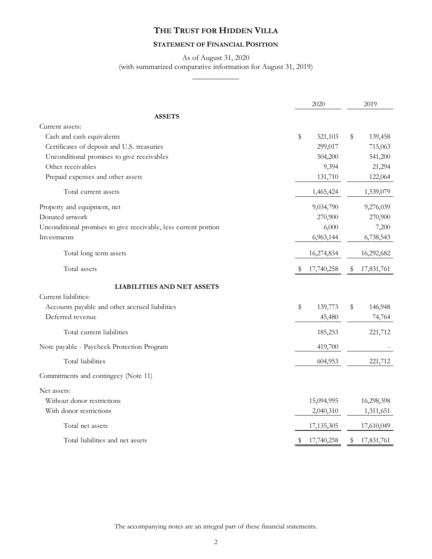## **STATEMENT OF FINANCIAL POSITION**

## As of August 31, 2020 (with summarized comparative information for August 31, 2019)  $\overline{\phantom{a}}$

|                                                                 | 2020             |    | 2019       |  |
|-----------------------------------------------------------------|------------------|----|------------|--|
| <b>ASSETS</b>                                                   |                  |    |            |  |
| Current assets:                                                 |                  |    |            |  |
| Cash and cash equivalents                                       | \$<br>521,103    | \$ | 139,458    |  |
| Certificates of deposit and U.S. treasuries                     | 299,017          |    | 715,063    |  |
| Unconditional promises to give receivables                      | 504,200          |    | 541,200    |  |
| Other receivables                                               | 9,394            |    | 21,294     |  |
| Prepaid expenses and other assets                               | 131,710          |    | 122,064    |  |
| Total current assets                                            | 1,465,424        |    | 1,539,079  |  |
| Property and equipment, net                                     | 9,034,790        |    | 9,276,039  |  |
| Donated artwork                                                 | 270,900          |    | 270,900    |  |
| Unconditional promises to give receivable, less current portion | 6,000            |    | 7,200      |  |
| Investments                                                     | 6,963,144        |    | 6,738,543  |  |
| Total long term assets                                          | 16,274,834       |    | 16,292,682 |  |
| Total assets                                                    | \$<br>17,740,258 | \$ | 17,831,761 |  |
| <b>LIABILITIES AND NET ASSETS</b>                               |                  |    |            |  |
| Current liabilities:                                            |                  |    |            |  |
| Accounts payable and other accrued liabilities                  | \$<br>139,773    | \$ | 146,948    |  |
| Deferred revenue                                                | 45,480           |    | 74,764     |  |
| Total current liabilities                                       | 185,253          |    | 221,712    |  |
| Note payable - Paycheck Protection Program                      | 419,700          |    |            |  |
| Total liabilities                                               | 604,953          |    | 221,712    |  |
| Commitments and contingecy (Note 11)                            |                  |    |            |  |
| Net assets:                                                     |                  |    |            |  |
| Without donor restrictions                                      | 15,094,995       |    | 16,298,398 |  |
| With donor restrictions                                         | 2,040,310        |    | 1,311,651  |  |
| Total net assets                                                | 17,135,305       |    | 17,610,049 |  |
| Total liabilities and net assets                                | \$<br>17,740,258 | \$ | 17,831,761 |  |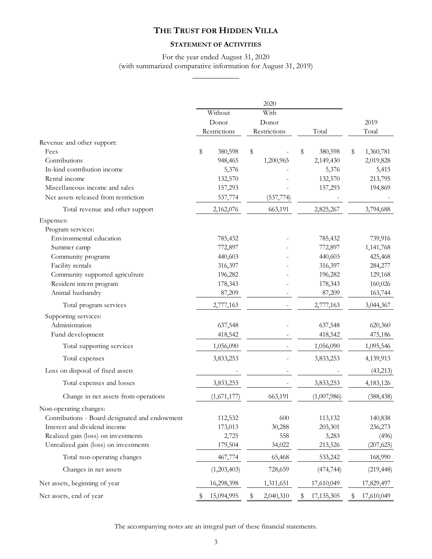## **STATEMENT OF ACTIVITIES**

## For the year ended August 31, 2020 (with summarized comparative information for August 31, 2019) \_\_\_\_\_\_\_\_\_\_\_\_

|                                                |                  | 2020            |    |              |    |            |
|------------------------------------------------|------------------|-----------------|----|--------------|----|------------|
|                                                | Without          | With            |    |              |    |            |
|                                                | Donor            | Donor           |    |              |    | 2019       |
|                                                | Restrictions     | Restrictions    |    | Total        |    | Total      |
| Revenue and other support:                     |                  |                 |    |              |    |            |
| Fees                                           | \$<br>380,598    | \$              | \$ | 380,598      | \$ | 1,360,781  |
| Contributions                                  | 948,465          | 1,200,965       |    | 2,149,430    |    | 2,019,828  |
| In-kind contribution income                    | 5,376            |                 |    | 5,376        |    | 5,415      |
| Rental income                                  | 132,570          |                 |    | 132,570      |    | 213,795    |
| Miscellaneous income and sales                 | 157,293          |                 |    | 157,293      |    | 194,869    |
| Net assets released from restriction           | 537,774          | (537, 774)      |    |              |    |            |
| Total revenue and other support                | 2,162,076        | 663,191         |    | 2,825,267    |    | 3,794,688  |
| Expenses:                                      |                  |                 |    |              |    |            |
| Program services:                              |                  |                 |    |              |    |            |
| Environmental education                        | 785,432          |                 |    | 785,432      |    | 739,916    |
| Summer camp                                    | 772,897          |                 |    | 772,897      |    | 1,141,768  |
| Community programs                             | 440,603          |                 |    | 440,603      |    | 425,468    |
| Facility rentals                               | 316,397          |                 |    | 316,397      |    | 284,277    |
| Community supported agriculture                | 196,282          |                 |    | 196,282      |    | 129,168    |
| Resident intern program                        | 178,343          |                 |    | 178,343      |    | 160,026    |
| Animal husbandry                               | 87,209           |                 |    | 87,209       |    | 163,744    |
| Total program services                         | 2,777,163        |                 |    | 2,777,163    |    | 3,044,367  |
| Supporting services:                           |                  |                 |    |              |    |            |
| Administration                                 | 637,548          |                 |    | 637,548      |    | 620,360    |
| Fund development                               | 418,542          |                 |    | 418,542      |    | 475,186    |
| Total supporting services                      | 1,056,090        |                 |    | 1,056,090    |    | 1,095,546  |
| Total expenses                                 | 3,833,253        |                 |    | 3,833,253    |    | 4,139,913  |
| Loss on disposal of fixed assets               |                  |                 |    |              |    | (43, 213)  |
| Total expenses and losses                      | 3,833,253        |                 |    | 3,833,253    |    | 4,183,126  |
| Change in net assets from operations           | (1,671,177)      | 663,191         |    | (1,007,986)  |    | (388, 438) |
| Non-operating changes:                         |                  |                 |    |              |    |            |
| Contributions - Board designated and endowment | 112,532          | 600             |    | 113,132      |    | 140,838    |
| Interest and dividend income                   | 173,013          | 30,288          |    | 203,301      |    | 236,273    |
| Realized gain (loss) on investments            | 2,725            | 558             |    | 3,283        |    | (496)      |
| Unrealized gain (loss) on investments          | 179,504          | 34,022          |    | 213,526      |    | (207, 625) |
| Total non-operating changes                    | 467,774          | 65,468          |    | 533,242      |    | 168,990    |
| Changes in net assets                          | (1,203,403)      | 728,659         |    | (474, 744)   |    | (219, 448) |
| Net assets, beginning of year                  | 16,298,398       | 1,311,651       |    | 17,610,049   |    | 17,829,497 |
| Net assets, end of year                        | \$<br>15,094,995 | \$<br>2,040,310 | \$ | 17, 135, 305 | \$ | 17,610,049 |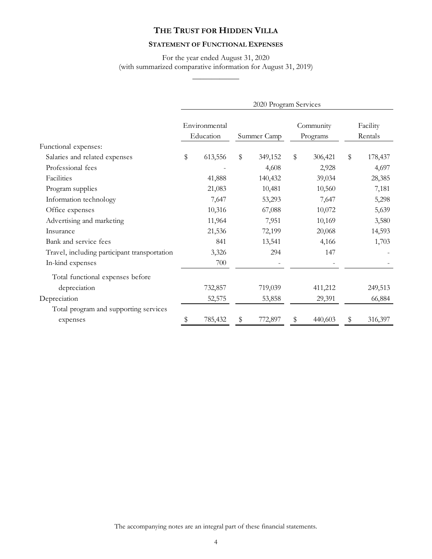## **STATEMENT OF FUNCTIONAL EXPENSES**

For the year ended August 31, 2020 (with summarized comparative information for August 31, 2019)  $\overline{\phantom{a}}$ 

|                                              | 2020 Program Services      |         |             |         |                       |         |    |                     |
|----------------------------------------------|----------------------------|---------|-------------|---------|-----------------------|---------|----|---------------------|
|                                              | Environmental<br>Education |         | Summer Camp |         | Community<br>Programs |         |    | Facility<br>Rentals |
| Functional expenses:                         |                            |         |             |         |                       |         |    |                     |
| Salaries and related expenses                | \$                         | 613,556 | \$          | 349,152 | \$                    | 306,421 | \$ | 178,437             |
| Professional fees                            |                            |         |             | 4,608   |                       | 2,928   |    | 4,697               |
| Facilities                                   |                            | 41,888  |             | 140,432 |                       | 39,034  |    | 28,385              |
| Program supplies                             |                            | 21,083  |             | 10,481  |                       | 10,560  |    | 7,181               |
| Information technology                       |                            | 7,647   |             | 53,293  |                       | 7,647   |    | 5,298               |
| Office expenses                              |                            | 10,316  |             | 67,088  |                       | 10,072  |    | 5,639               |
| Advertising and marketing                    |                            | 11,964  |             | 7,951   |                       | 10,169  |    | 3,580               |
| Insurance                                    |                            | 21,536  |             | 72,199  |                       | 20,068  |    | 14,593              |
| Bank and service fees                        |                            | 841     |             | 13,541  |                       | 4,166   |    | 1,703               |
| Travel, including participant transportation |                            | 3,326   |             | 294     |                       | 147     |    |                     |
| In-kind expenses                             |                            | 700     |             |         |                       |         |    |                     |
| Total functional expenses before             |                            |         |             |         |                       |         |    |                     |
| depreciation                                 |                            | 732,857 |             | 719,039 |                       | 411,212 |    | 249,513             |
| Depreciation                                 |                            | 52,575  |             | 53,858  |                       | 29,391  |    | 66,884              |
| Total program and supporting services        |                            |         |             |         |                       |         |    |                     |
| expenses                                     | S                          | 785,432 | \$          | 772,897 | \$                    | 440,603 | \$ | 316,397             |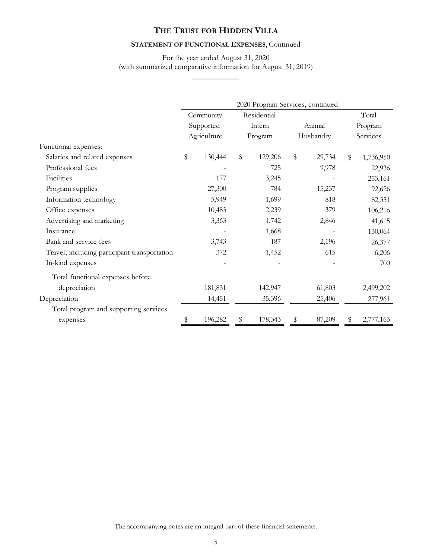## **STATEMENT OF FUNCTIONAL EXPENSES**, Continued

## For the year ended August 31, 2020 (with summarized comparative information for August 31, 2019)  $\overline{\phantom{a}}$

|                                              | 2020 Program Services, continued |             |         |             |           |        |    |           |
|----------------------------------------------|----------------------------------|-------------|---------|-------------|-----------|--------|----|-----------|
|                                              |                                  | Community   |         | Residential |           |        |    | Total     |
|                                              |                                  | Supported   |         | Intern      | Animal    |        |    | Program   |
|                                              |                                  | Agriculture | Program |             | Husbandry |        |    | Services  |
| Functional expenses:                         |                                  |             |         |             |           |        |    |           |
| Salaries and related expenses                | \$                               | 130,444     | \$      | 129,206     | \$        | 29,734 | \$ | 1,736,950 |
| Professional fees                            |                                  |             |         | 725         |           | 9,978  |    | 22,936    |
| Facilities                                   |                                  | 177         |         | 3,245       |           |        |    | 253,161   |
| Program supplies                             |                                  | 27,300      |         | 784         |           | 15,237 |    | 92,626    |
| Information technology                       |                                  | 5,949       |         | 1,699       |           | 818    |    | 82,351    |
| Office expenses                              |                                  | 10,483      |         | 2,239       |           | 379    |    | 106,216   |
| Advertising and marketing                    |                                  | 3,363       |         | 1,742       |           | 2,846  |    | 41,615    |
| Insurance                                    |                                  |             |         | 1,668       |           |        |    | 130,064   |
| Bank and service fees                        |                                  | 3,743       |         | 187         |           | 2,196  |    | 26,377    |
| Travel, including participant transportation |                                  | 372         |         | 1,452       |           | 615    |    | 6,206     |
| In-kind expenses                             |                                  |             |         |             |           |        |    | 700       |
| Total functional expenses before             |                                  |             |         |             |           |        |    |           |
| depreciation                                 |                                  | 181,831     |         | 142,947     |           | 61,803 |    | 2,499,202 |
| Depreciation                                 |                                  | 14,451      |         | 35,396      |           | 25,406 |    | 277,961   |
| Total program and supporting services        |                                  |             |         |             |           |        |    |           |
| expenses                                     | S                                | 196,282     | \$      | 178,343     | \$        | 87,209 | S  | 2,777,163 |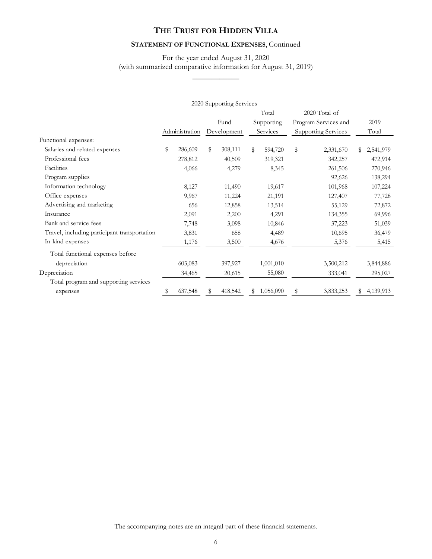## **STATEMENT OF FUNCTIONAL EXPENSES**, Continued

## For the year ended August 31, 2020 (with summarized comparative information for August 31, 2019)  $\overline{\phantom{a}}$

|                                              |    |                | 2020 Supporting Services |    |            |                            |       |           |
|----------------------------------------------|----|----------------|--------------------------|----|------------|----------------------------|-------|-----------|
|                                              |    |                |                          |    | Total      | 2020 Total of              |       |           |
|                                              |    |                | Fund                     |    | Supporting | Program Services and       |       | 2019      |
|                                              |    | Administration | Development              |    | Services   | <b>Supporting Services</b> | Total |           |
| Functional expenses:                         |    |                |                          |    |            |                            |       |           |
| Salaries and related expenses                | \$ | 286,609        | \$<br>308,111            | \$ | 594,720    | \$<br>2,331,670            | S     | 2,541,979 |
| Professional fees                            |    | 278,812        | 40,509                   |    | 319,321    | 342,257                    |       | 472,914   |
| Facilities                                   |    | 4,066          | 4,279                    |    | 8,345      | 261,506                    |       | 270,946   |
| Program supplies                             |    |                |                          |    |            | 92,626                     |       | 138,294   |
| Information technology                       |    | 8,127          | 11,490                   |    | 19,617     | 101,968                    |       | 107,224   |
| Office expenses                              |    | 9,967          | 11,224                   |    | 21,191     | 127,407                    |       | 77,728    |
| Advertising and marketing                    |    | 656            | 12,858                   |    | 13,514     | 55,129                     |       | 72,872    |
| Insurance                                    |    | 2,091          | 2,200                    |    | 4,291      | 134,355                    |       | 69,996    |
| Bank and service fees                        |    | 7,748          | 3,098                    |    | 10,846     | 37,223                     |       | 51,039    |
| Travel, including participant transportation |    | 3,831          | 658                      |    | 4,489      | 10,695                     |       | 36,479    |
| In-kind expenses                             |    | 1,176          | 3,500                    |    | 4,676      | 5,376                      |       | 5,415     |
| Total functional expenses before             |    |                |                          |    |            |                            |       |           |
| depreciation                                 |    | 603,083        | 397,927                  |    | 1,001,010  | 3,500,212                  |       | 3,844,886 |
| Depreciation                                 |    | 34,465         | 20,615                   |    | 55,080     | 333,041                    |       | 295,027   |
| Total program and supporting services        |    |                |                          |    |            |                            |       |           |
| expenses                                     | S  | 637,548        | 418,542                  | S  | 1,056,090  | \$<br>3,833,253            | S     | 4,139,913 |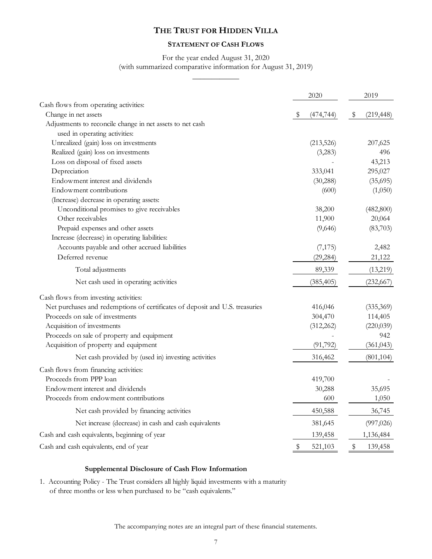## **STATEMENT OF CASH FLOWS**

## For the year ended August 31, 2020 (with summarized comparative information for August 31, 2019)  $\overline{\phantom{a}}$

|                                                                              | 2020 |            | 2019          |            |
|------------------------------------------------------------------------------|------|------------|---------------|------------|
| Cash flows from operating activities:                                        |      |            |               |            |
| Change in net assets                                                         | \$   | (474, 744) | $\frac{1}{2}$ | (219, 448) |
| Adjustments to reconcile change in net assets to net cash                    |      |            |               |            |
| used in operating activities:                                                |      |            |               |            |
| Unrealized (gain) loss on investments                                        |      | (213, 526) |               | 207,625    |
| Realized (gain) loss on investments                                          |      | (3,283)    |               | 496        |
| Loss on disposal of fixed assets                                             |      |            |               | 43,213     |
| Depreciation                                                                 |      | 333,041    |               | 295,027    |
| Endowment interest and dividends                                             |      | (30, 288)  |               | (35,695)   |
| Endowment contributions                                                      |      | (600)      |               | (1,050)    |
| (Increase) decrease in operating assets:                                     |      |            |               |            |
| Unconditional promises to give receivables                                   |      | 38,200     |               | (482, 800) |
| Other receivables                                                            |      | 11,900     |               | 20,064     |
| Prepaid expenses and other assets                                            |      | (9,646)    |               | (83,703)   |
| Increase (decrease) in operating liabilities:                                |      |            |               |            |
| Accounts payable and other accrued liabilities                               |      | (7, 175)   |               | 2,482      |
| Deferred revenue                                                             |      | (29, 284)  |               | 21,122     |
| Total adjustments                                                            |      | 89,339     |               | (13,219)   |
| Net cash used in operating activities                                        |      | (385, 405) |               | (232, 667) |
| Cash flows from investing activities:                                        |      |            |               |            |
| Net purchases and redemptions of certificates of deposit and U.S. treasuries |      | 416,046    |               | (335, 369) |
| Proceeds on sale of investments                                              |      | 304,470    |               | 114,405    |
| Acquisition of investments                                                   |      | (312, 262) |               | (220, 039) |
| Proceeds on sale of property and equipment                                   |      |            |               | 942        |
| Acquisition of property and equipment                                        |      | (91, 792)  |               | (361, 043) |
| Net cash provided by (used in) investing activities                          |      | 316,462    |               | (801, 104) |
| Cash flows from financing activities:                                        |      |            |               |            |
| Proceeds from PPP loan                                                       |      | 419,700    |               |            |
| Endowment interest and dividends                                             |      | 30,288     |               | 35,695     |
| Proceeds from endowment contributions                                        |      | 600        |               | 1,050      |
| Net cash provided by financing activities                                    |      | 450,588    |               | 36,745     |
| Net increase (decrease) in cash and cash equivalents                         |      | 381,645    |               | (997, 026) |
| Cash and cash equivalents, beginning of year                                 |      | 139,458    |               | 1,136,484  |
| Cash and cash equivalents, end of year                                       | \$   | 521,103    | \$            | 139,458    |

## **Supplemental Disclosure of Cash Flow Information**

1. Accounting Policy - The Trust considers all highly liquid investments with a maturity of three months or less when purchased to be "cash equivalents."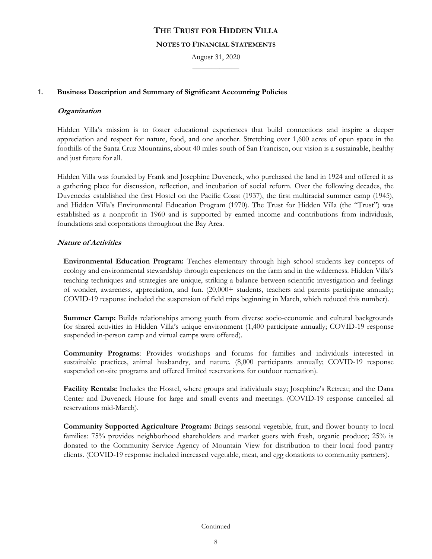#### **NOTES TO FINANCIAL STATEMENTS**

August 31, 2020  $\overline{\phantom{a}}$ 

## **1. Business Description and Summary of Significant Accounting Policies**

## **Organization**

Hidden Villa's mission is to foster educational experiences that build connections and inspire a deeper appreciation and respect for nature, food, and one another. Stretching over 1,600 acres of open space in the foothills of the Santa Cruz Mountains, about 40 miles south of San Francisco, our vision is a sustainable, healthy and just future for all.

Hidden Villa was founded by Frank and Josephine Duveneck, who purchased the land in 1924 and offered it as a gathering place for discussion, reflection, and incubation of social reform. Over the following decades, the Duvenecks established the first Hostel on the Pacific Coast (1937), the first multiracial summer camp (1945), and Hidden Villa's Environmental Education Program (1970). The Trust for Hidden Villa (the "Trust") was established as a nonprofit in 1960 and is supported by earned income and contributions from individuals, foundations and corporations throughout the Bay Area.

## **Nature of Activities**

**Environmental Education Program:** Teaches elementary through high school students key concepts of ecology and environmental stewardship through experiences on the farm and in the wilderness. Hidden Villa's teaching techniques and strategies are unique, striking a balance between scientific investigation and feelings of wonder, awareness, appreciation, and fun. (20,000+ students, teachers and parents participate annually; COVID-19 response included the suspension of field trips beginning in March, which reduced this number).

**Summer Camp:** Builds relationships among youth from diverse socio-economic and cultural backgrounds for shared activities in Hidden Villa's unique environment (1,400 participate annually; COVID-19 response suspended in-person camp and virtual camps were offered).

**Community Programs**: Provides workshops and forums for families and individuals interested in sustainable practices, animal husbandry, and nature. (8,000 participants annually; COVID-19 response suspended on-site programs and offered limited reservations for outdoor recreation).

**Facility Rentals:** Includes the Hostel, where groups and individuals stay; Josephine's Retreat; and the Dana Center and Duveneck House for large and small events and meetings. (COVID-19 response cancelled all reservations mid-March).

**Community Supported Agriculture Program:** Brings seasonal vegetable, fruit, and flower bounty to local families: 75% provides neighborhood shareholders and market goers with fresh, organic produce; 25% is donated to the Community Service Agency of Mountain View for distribution to their local food pantry clients. (COVID-19 response included increased vegetable, meat, and egg donations to community partners).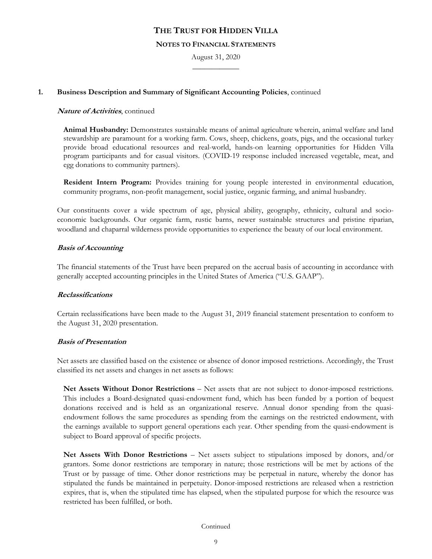#### **NOTES TO FINANCIAL STATEMENTS**

August 31, 2020  $\overline{\phantom{a}}$ 

## **1. Business Description and Summary of Significant Accounting Policies**, continued

## **Nature of Activities**, continued

**Animal Husbandry:** Demonstrates sustainable means of animal agriculture wherein, animal welfare and land stewardship are paramount for a working farm. Cows, sheep, chickens, goats, pigs, and the occasional turkey provide broad educational resources and real-world, hands-on learning opportunities for Hidden Villa program participants and for casual visitors. (COVID-19 response included increased vegetable, meat, and egg donations to community partners).

**Resident Intern Program:** Provides training for young people interested in environmental education, community programs, non-profit management, social justice, organic farming, and animal husbandry.

Our constituents cover a wide spectrum of age, physical ability, geography, ethnicity, cultural and socioeconomic backgrounds. Our organic farm, rustic barns, newer sustainable structures and pristine riparian, woodland and chaparral wilderness provide opportunities to experience the beauty of our local environment.

## **Basis of Accounting**

The financial statements of the Trust have been prepared on the accrual basis of accounting in accordance with generally accepted accounting principles in the United States of America ("U.S. GAAP").

## **Reclassifications**

Certain reclassifications have been made to the August 31, 2019 financial statement presentation to conform to the August 31, 2020 presentation.

### **Basis of Presentation**

Net assets are classified based on the existence or absence of donor imposed restrictions. Accordingly, the Trust classified its net assets and changes in net assets as follows:

**Net Assets Without Donor Restrictions** – Net assets that are not subject to donor-imposed restrictions. This includes a Board-designated quasi-endowment fund, which has been funded by a portion of bequest donations received and is held as an organizational reserve. Annual donor spending from the quasiendowment follows the same procedures as spending from the earnings on the restricted endowment, with the earnings available to support general operations each year. Other spending from the quasi-endowment is subject to Board approval of specific projects.

**Net Assets With Donor Restrictions** – Net assets subject to stipulations imposed by donors, and/or grantors. Some donor restrictions are temporary in nature; those restrictions will be met by actions of the Trust or by passage of time. Other donor restrictions may be perpetual in nature, whereby the donor has stipulated the funds be maintained in perpetuity. Donor-imposed restrictions are released when a restriction expires, that is, when the stipulated time has elapsed, when the stipulated purpose for which the resource was restricted has been fulfilled, or both.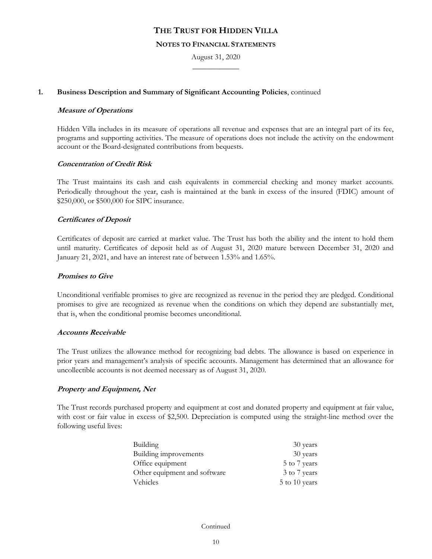#### **NOTES TO FINANCIAL STATEMENTS**

August 31, 2020  $\overline{\phantom{a}}$ 

## **1. Business Description and Summary of Significant Accounting Policies**, continued

#### **Measure of Operations**

Hidden Villa includes in its measure of operations all revenue and expenses that are an integral part of its fee, programs and supporting activities. The measure of operations does not include the activity on the endowment account or the Board-designated contributions from bequests.

### **Concentration of Credit Risk**

The Trust maintains its cash and cash equivalents in commercial checking and money market accounts. Periodically throughout the year, cash is maintained at the bank in excess of the insured (FDIC) amount of \$250,000, or \$500,000 for SIPC insurance.

### **Certificates of Deposit**

Certificates of deposit are carried at market value. The Trust has both the ability and the intent to hold them until maturity. Certificates of deposit held as of August 31, 2020 mature between December 31, 2020 and January 21, 2021, and have an interest rate of between 1.53% and 1.65%.

## **Promises to Give**

Unconditional verifiable promises to give are recognized as revenue in the period they are pledged. Conditional promises to give are recognized as revenue when the conditions on which they depend are substantially met, that is, when the conditional promise becomes unconditional.

### **Accounts Receivable**

The Trust utilizes the allowance method for recognizing bad debts. The allowance is based on experience in prior years and management's analysis of specific accounts. Management has determined that an allowance for uncollectible accounts is not deemed necessary as of August 31, 2020.

### **Property and Equipment, Net**

The Trust records purchased property and equipment at cost and donated property and equipment at fair value, with cost or fair value in excess of \$2,500. Depreciation is computed using the straight-line method over the following useful lives:

| Building                     | 30 years      |
|------------------------------|---------------|
| Building improvements        | 30 years      |
| Office equipment             | 5 to 7 years  |
| Other equipment and software | 3 to 7 years  |
| Vehicles                     | 5 to 10 years |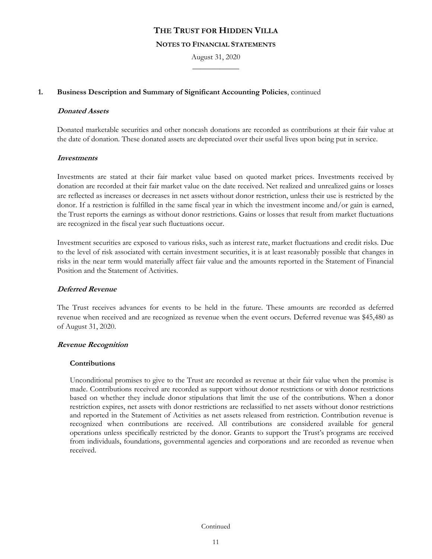### **NOTES TO FINANCIAL STATEMENTS**

August 31, 2020  $\overline{\phantom{a}}$ 

## **1. Business Description and Summary of Significant Accounting Policies**, continued

### **Donated Assets**

Donated marketable securities and other noncash donations are recorded as contributions at their fair value at the date of donation. These donated assets are depreciated over their useful lives upon being put in service.

## **Investments**

Investments are stated at their fair market value based on quoted market prices. Investments received by donation are recorded at their fair market value on the date received. Net realized and unrealized gains or losses are reflected as increases or decreases in net assets without donor restriction, unless their use is restricted by the donor. If a restriction is fulfilled in the same fiscal year in which the investment income and/or gain is earned, the Trust reports the earnings as without donor restrictions. Gains or losses that result from market fluctuations are recognized in the fiscal year such fluctuations occur.

Investment securities are exposed to various risks, such as interest rate, market fluctuations and credit risks. Due to the level of risk associated with certain investment securities, it is at least reasonably possible that changes in risks in the near term would materially affect fair value and the amounts reported in the Statement of Financial Position and the Statement of Activities.

## **Deferred Revenue**

The Trust receives advances for events to be held in the future. These amounts are recorded as deferred revenue when received and are recognized as revenue when the event occurs. Deferred revenue was \$45,480 as of August 31, 2020.

### **Revenue Recognition**

### **Contributions**

Unconditional promises to give to the Trust are recorded as revenue at their fair value when the promise is made. Contributions received are recorded as support without donor restrictions or with donor restrictions based on whether they include donor stipulations that limit the use of the contributions. When a donor restriction expires, net assets with donor restrictions are reclassified to net assets without donor restrictions and reported in the Statement of Activities as net assets released from restriction. Contribution revenue is recognized when contributions are received. All contributions are considered available for general operations unless specifically restricted by the donor. Grants to support the Trust's programs are received from individuals, foundations, governmental agencies and corporations and are recorded as revenue when received.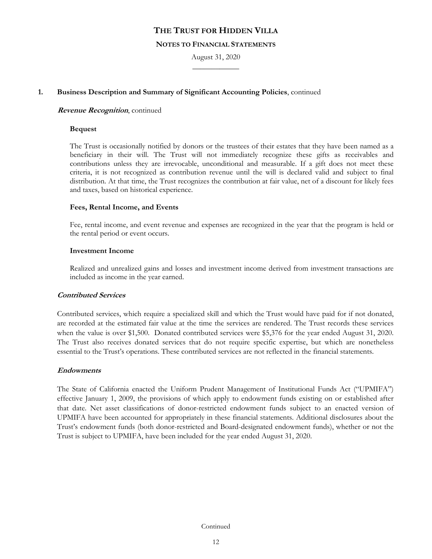#### **NOTES TO FINANCIAL STATEMENTS**

August 31, 2020  $\overline{\phantom{a}}$ 

## **1. Business Description and Summary of Significant Accounting Policies**, continued

### **Revenue Recognition**, continued

#### **Bequest**

The Trust is occasionally notified by donors or the trustees of their estates that they have been named as a beneficiary in their will. The Trust will not immediately recognize these gifts as receivables and contributions unless they are irrevocable, unconditional and measurable. If a gift does not meet these criteria, it is not recognized as contribution revenue until the will is declared valid and subject to final distribution. At that time, the Trust recognizes the contribution at fair value, net of a discount for likely fees and taxes, based on historical experience.

#### **Fees, Rental Income, and Events**

Fee, rental income, and event revenue and expenses are recognized in the year that the program is held or the rental period or event occurs.

#### **Investment Income**

Realized and unrealized gains and losses and investment income derived from investment transactions are included as income in the year earned.

## **Contributed Services**

Contributed services, which require a specialized skill and which the Trust would have paid for if not donated, are recorded at the estimated fair value at the time the services are rendered. The Trust records these services when the value is over \$1,500. Donated contributed services were \$5,376 for the year ended August 31, 2020. The Trust also receives donated services that do not require specific expertise, but which are nonetheless essential to the Trust's operations. These contributed services are not reflected in the financial statements.

### **Endowments**

The State of California enacted the Uniform Prudent Management of Institutional Funds Act ("UPMIFA") effective January 1, 2009, the provisions of which apply to endowment funds existing on or established after that date. Net asset classifications of donor-restricted endowment funds subject to an enacted version of UPMIFA have been accounted for appropriately in these financial statements. Additional disclosures about the Trust's endowment funds (both donor-restricted and Board-designated endowment funds), whether or not the Trust is subject to UPMIFA, have been included for the year ended August 31, 2020.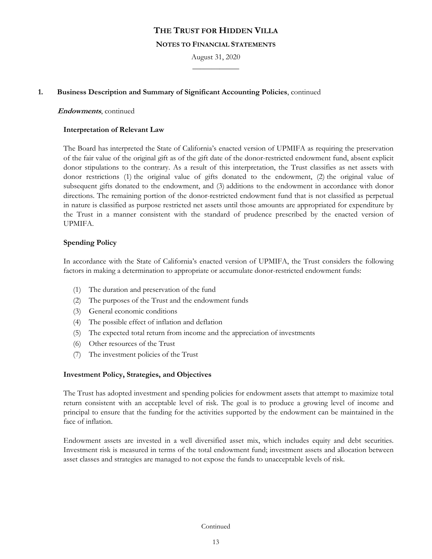### **NOTES TO FINANCIAL STATEMENTS**

August 31, 2020  $\overline{\phantom{a}}$ 

## **1. Business Description and Summary of Significant Accounting Policies**, continued

#### **Endowments**, continued

#### **Interpretation of Relevant Law**

The Board has interpreted the State of California's enacted version of UPMIFA as requiring the preservation of the fair value of the original gift as of the gift date of the donor-restricted endowment fund, absent explicit donor stipulations to the contrary. As a result of this interpretation, the Trust classifies as net assets with donor restrictions (1) the original value of gifts donated to the endowment, (2) the original value of subsequent gifts donated to the endowment, and (3) additions to the endowment in accordance with donor directions. The remaining portion of the donor-restricted endowment fund that is not classified as perpetual in nature is classified as purpose restricted net assets until those amounts are appropriated for expenditure by the Trust in a manner consistent with the standard of prudence prescribed by the enacted version of UPMIFA.

### **Spending Policy**

In accordance with the State of California's enacted version of UPMIFA, the Trust considers the following factors in making a determination to appropriate or accumulate donor-restricted endowment funds:

- (1) The duration and preservation of the fund
- (2) The purposes of the Trust and the endowment funds
- (3) General economic conditions
- (4) The possible effect of inflation and deflation
- (5) The expected total return from income and the appreciation of investments
- (6) Other resources of the Trust
- (7) The investment policies of the Trust

### **Investment Policy, Strategies, and Objectives**

The Trust has adopted investment and spending policies for endowment assets that attempt to maximize total return consistent with an acceptable level of risk. The goal is to produce a growing level of income and principal to ensure that the funding for the activities supported by the endowment can be maintained in the face of inflation.

Endowment assets are invested in a well diversified asset mix, which includes equity and debt securities. Investment risk is measured in terms of the total endowment fund; investment assets and allocation between asset classes and strategies are managed to not expose the funds to unacceptable levels of risk.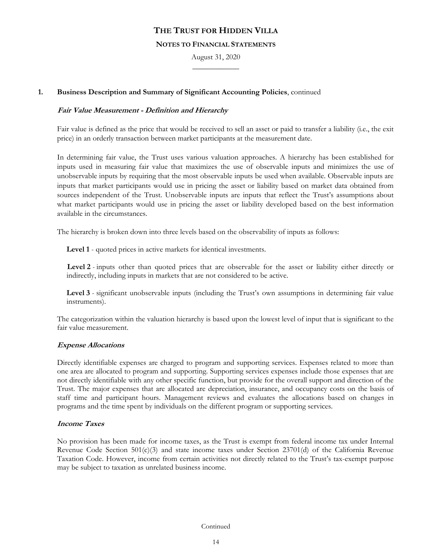### **NOTES TO FINANCIAL STATEMENTS**

August 31, 2020  $\overline{\phantom{a}}$ 

## **1. Business Description and Summary of Significant Accounting Policies**, continued

## **Fair Value Measurement - Definition and Hierarchy**

Fair value is defined as the price that would be received to sell an asset or paid to transfer a liability (i.e., the exit price) in an orderly transaction between market participants at the measurement date.

In determining fair value, the Trust uses various valuation approaches. A hierarchy has been established for inputs used in measuring fair value that maximizes the use of observable inputs and minimizes the use of unobservable inputs by requiring that the most observable inputs be used when available. Observable inputs are inputs that market participants would use in pricing the asset or liability based on market data obtained from sources independent of the Trust. Unobservable inputs are inputs that reflect the Trust's assumptions about what market participants would use in pricing the asset or liability developed based on the best information available in the circumstances.

The hierarchy is broken down into three levels based on the observability of inputs as follows:

**Level 1** - quoted prices in active markets for identical investments.

**Level 2** *-* inputs other than quoted prices that are observable for the asset or liability either directly or indirectly, including inputs in markets that are not considered to be active.

**Level 3** - significant unobservable inputs (including the Trust's own assumptions in determining fair value instruments).

The categorization within the valuation hierarchy is based upon the lowest level of input that is significant to the fair value measurement.

### **Expense Allocations**

Directly identifiable expenses are charged to program and supporting services. Expenses related to more than one area are allocated to program and supporting. Supporting services expenses include those expenses that are not directly identifiable with any other specific function, but provide for the overall support and direction of the Trust. The major expenses that are allocated are depreciation, insurance, and occupancy costs on the basis of staff time and participant hours. Management reviews and evaluates the allocations based on changes in programs and the time spent by individuals on the different program or supporting services.

### **Income Taxes**

No provision has been made for income taxes, as the Trust is exempt from federal income tax under Internal Revenue Code Section 501(c)(3) and state income taxes under Section 23701(d) of the California Revenue Taxation Code. However, income from certain activities not directly related to the Trust's tax-exempt purpose may be subject to taxation as unrelated business income.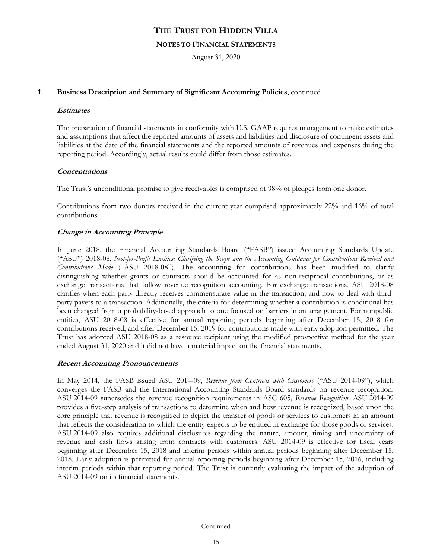#### **NOTES TO FINANCIAL STATEMENTS**

August 31, 2020  $\overline{\phantom{a}}$ 

## **1. Business Description and Summary of Significant Accounting Policies**, continued

## **Estimates**

The preparation of financial statements in conformity with U.S. GAAP requires management to make estimates and assumptions that affect the reported amounts of assets and liabilities and disclosure of contingent assets and liabilities at the date of the financial statements and the reported amounts of revenues and expenses during the reporting period. Accordingly, actual results could differ from those estimates.

## **Concentrations**

The Trust's unconditional promise to give receivables is comprised of 98% of pledges from one donor.

Contributions from two donors received in the current year comprised approximately 22% and 16% of total contributions.

## **Change in Accounting Principle**

In June 2018, the Financial Accounting Standards Board ("FASB") issued Accounting Standards Update ("ASU") 2018-08, *Not-for-Profit Entities: Clarifying the Scope and the Accounting Guidance for Contributions Received and Contributions Made* ("ASU 2018-08"). The accounting for contributions has been modified to clarify distinguishing whether grants or contracts should be accounted for as non-reciprocal contributions, or as exchange transactions that follow revenue recognition accounting. For exchange transactions, ASU 2018-08 clarifies when each party directly receives commensurate value in the transaction, and how to deal with thirdparty payers to a transaction. Additionally, the criteria for determining whether a contribution is conditional has been changed from a probability-based approach to one focused on barriers in an arrangement. For nonpublic entities, ASU 2018-08 is effective for annual reporting periods beginning after December 15, 2018 for contributions received, and after December 15, 2019 for contributions made with early adoption permitted. The Trust has adopted ASU 2018-08 as a resource recipient using the modified prospective method for the year ended August 31, 2020 and it did not have a material impact on the financial statements**.**

### **Recent Accounting Pronouncements**

In May 2014, the FASB issued ASU 2014-09, *Revenue from Contracts with Customers* ("ASU 2014-09"), which converges the FASB and the International Accounting Standards Board standards on revenue recognition. ASU 2014-09 supersedes the revenue recognition requirements in ASC 605, *Revenue Recognition*. ASU 2014-09 provides a five-step analysis of transactions to determine when and how revenue is recognized, based upon the core principle that revenue is recognized to depict the transfer of goods or services to customers in an amount that reflects the consideration to which the entity expects to be entitled in exchange for those goods or services. ASU 2014-09 also requires additional disclosures regarding the nature, amount, timing and uncertainty of revenue and cash flows arising from contracts with customers. ASU 2014-09 is effective for fiscal years beginning after December 15, 2018 and interim periods within annual periods beginning after December 15, 2018. Early adoption is permitted for annual reporting periods beginning after December 15, 2016, including interim periods within that reporting period. The Trust is currently evaluating the impact of the adoption of ASU 2014-09 on its financial statements.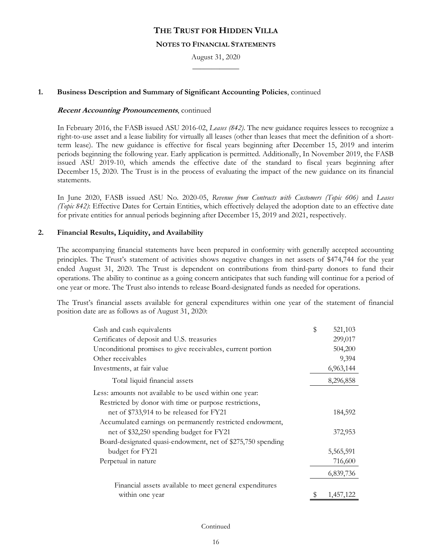## **NOTES TO FINANCIAL STATEMENTS**

August 31, 2020  $\overline{\phantom{a}}$ 

## **1. Business Description and Summary of Significant Accounting Policies**, continued

#### **Recent Accounting Pronouncements**, continued

In February 2016, the FASB issued ASU 2016-02, *Leases (842)*. The new guidance requires lessees to recognize a right-to-use asset and a lease liability for virtually all leases (other than leases that meet the definition of a shortterm lease). The new guidance is effective for fiscal years beginning after December 15, 2019 and interim periods beginning the following year. Early application is permitted. Additionally, In November 2019, the FASB issued ASU 2019-10, which amends the effective date of the standard to fiscal years beginning after December 15, 2020. The Trust is in the process of evaluating the impact of the new guidance on its financial statements.

In June 2020, FASB issued ASU No. 2020-05, *Revenue from Contracts with Customers (Topic 606)* and *Leases (Topic 842)*: Effective Dates for Certain Entities, which effectively delayed the adoption date to an effective date for private entities for annual periods beginning after December 15, 2019 and 2021, respectively.

## **2. Financial Results, Liquidity, and Availability**

The accompanying financial statements have been prepared in conformity with generally accepted accounting principles. The Trust's statement of activities shows negative changes in net assets of \$474,744 for the year ended August 31, 2020. The Trust is dependent on contributions from third-party donors to fund their operations. The ability to continue as a going concern anticipates that such funding will continue for a period of one year or more. The Trust also intends to release Board-designated funds as needed for operations.

The Trust's financial assets available for general expenditures within one year of the statement of financial position date are as follows as of August 31, 2020:

| Cash and cash equivalents                                   | \$<br>521,103 |
|-------------------------------------------------------------|---------------|
| Certificates of deposit and U.S. treasuries                 | 299,017       |
| Unconditional promises to give receivables, current portion | 504,200       |
| Other receivables                                           | 9,394         |
| Investments, at fair value                                  | 6,963,144     |
| Total liquid financial assets                               | 8,296,858     |
| Less: amounts not available to be used within one year:     |               |
| Restricted by donor with time or purpose restrictions,      |               |
| net of \$733,914 to be released for FY21                    | 184,592       |
| Accumulated earnings on permanently restricted endowment,   |               |
| net of \$32,250 spending budget for FY21                    | 372,953       |
| Board-designated quasi-endowment, net of \$275,750 spending |               |
| budget for FY21                                             | 5,565,591     |
| Perpetual in nature                                         | 716,600       |
|                                                             | 6,839,736     |
| Financial assets available to meet general expenditures     |               |
| within one year                                             | 1,457,122     |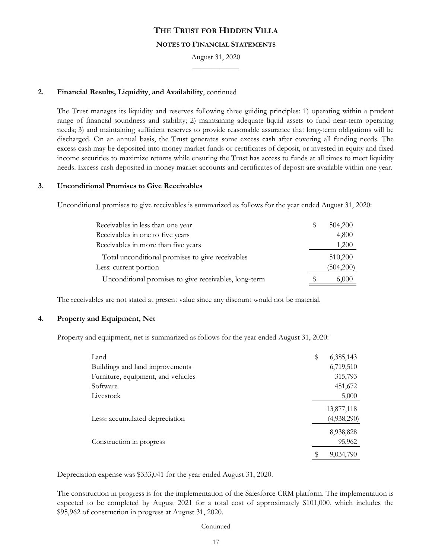#### **NOTES TO FINANCIAL STATEMENTS**

August 31, 2020  $\overline{\phantom{a}}$ 

## **2. Financial Results, Liquidity**, **and Availability**, continued

The Trust manages its liquidity and reserves following three guiding principles: 1) operating within a prudent range of financial soundness and stability; 2) maintaining adequate liquid assets to fund near-term operating needs; 3) and maintaining sufficient reserves to provide reasonable assurance that long-term obligations will be discharged. On an annual basis, the Trust generates some excess cash after covering all funding needs. The excess cash may be deposited into money market funds or certificates of deposit, or invested in equity and fixed income securities to maximize returns while ensuring the Trust has access to funds at all times to meet liquidity needs. Excess cash deposited in money market accounts and certificates of deposit are available within one year.

### **3. Unconditional Promises to Give Receivables**

Unconditional promises to give receivables is summarized as follows for the year ended August 31, 2020:

| Receivables in less than one year                     | Y, | 504,200   |
|-------------------------------------------------------|----|-----------|
| Receivables in one to five years                      |    | 4,800     |
| Receivables in more than five years                   |    | 1,200     |
| Total unconditional promises to give receivables      |    | 510,200   |
| Less: current portion                                 |    | (504,200) |
| Unconditional promises to give receivables, long-term | Ж  | 6,000     |

The receivables are not stated at present value since any discount would not be material.

### **4. Property and Equipment, Net**

Property and equipment, net is summarized as follows for the year ended August 31, 2020:

| Land                               | \$<br>6,385,143 |
|------------------------------------|-----------------|
| Buildings and land improvements    | 6,719,510       |
| Furniture, equipment, and vehicles | 315,793         |
| Software                           | 451,672         |
| Livestock                          | 5,000           |
|                                    | 13,877,118      |
| Less: accumulated depreciation     | (4,938,290)     |
|                                    | 8,938,828       |
| Construction in progress           | 95,962          |
|                                    | 9,034,790       |

Depreciation expense was \$333,041 for the year ended August 31, 2020.

The construction in progress is for the implementation of the Salesforce CRM platform. The implementation is expected to be completed by August 2021 for a total cost of approximately \$101,000, which includes the \$95,962 of construction in progress at August 31, 2020.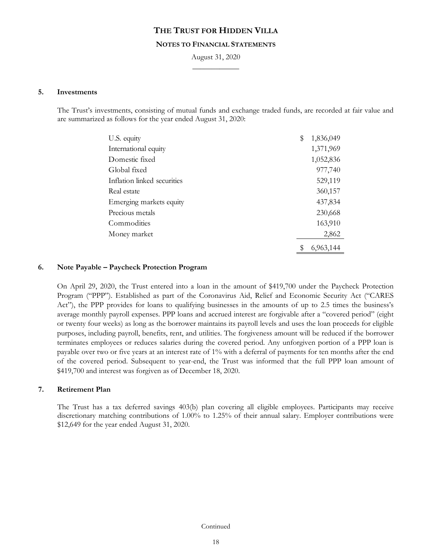#### **NOTES TO FINANCIAL STATEMENTS**

August 31, 2020  $\overline{\phantom{a}}$ 

#### **5. Investments**

The Trust's investments, consisting of mutual funds and exchange traded funds, are recorded at fair value and are summarized as follows for the year ended August 31, 2020:

| U.S. equity                 | \$<br>1,836,049 |
|-----------------------------|-----------------|
| International equity        | 1,371,969       |
| Domestic fixed              | 1,052,836       |
| Global fixed                | 977,740         |
| Inflation linked securities | 529,119         |
| Real estate                 | 360,157         |
| Emerging markets equity     | 437,834         |
| Precious metals             | 230,668         |
| Commodities                 | 163,910         |
| Money market                | 2,862           |
|                             | \$<br>6,963,144 |

#### **6. Note Payable – Paycheck Protection Program**

On April 29, 2020, the Trust entered into a loan in the amount of \$419,700 under the Paycheck Protection Program ("PPP"). Established as part of the Coronavirus Aid, Relief and Economic Security Act ("CARES Act"), the PPP provides for loans to qualifying businesses in the amounts of up to 2.5 times the business's average monthly payroll expenses. PPP loans and accrued interest are forgivable after a "covered period" (eight or twenty four weeks) as long as the borrower maintains its payroll levels and uses the loan proceeds for eligible purposes, including payroll, benefits, rent, and utilities. The forgiveness amount will be reduced if the borrower terminates employees or reduces salaries during the covered period. Any unforgiven portion of a PPP loan is payable over two or five years at an interest rate of 1% with a deferral of payments for ten months after the end of the covered period. Subsequent to year-end, the Trust was informed that the full PPP loan amount of \$419,700 and interest was forgiven as of December 18, 2020.

### **7. Retirement Plan**

The Trust has a tax deferred savings 403(b) plan covering all eligible employees. Participants may receive discretionary matching contributions of 1.00% to 1.25% of their annual salary. Employer contributions were \$12,649 for the year ended August 31, 2020.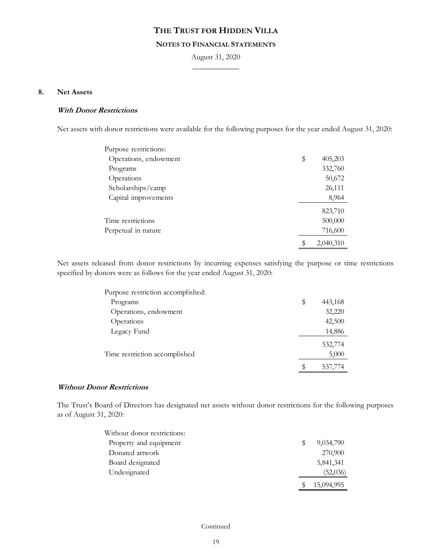## **NOTES TO FINANCIAL STATEMENTS**

August 31, 2020  $\overline{\phantom{a}}$ 

## **8. Net Assets**

## **With Donor Restrictions**

Net assets with donor restrictions were available for the following purposes for the year ended August 31, 2020:

| Purpose restrictions: |                 |
|-----------------------|-----------------|
| Operations, endowment | \$<br>405,203   |
| Programs              | 332,760         |
| Operations            | 50,672          |
| Scholarships/camp     | 26,111          |
| Capital improvements  | 8,964           |
|                       | 823,710         |
| Time restrictions     | 500,000         |
| Perpetual in nature   | 716,600         |
|                       | \$<br>2,040,310 |

Net assets released from donor restrictions by incurring expenses satisfying the purpose or time restrictions specified by donors were as follows for the year ended August 31, 2020:

| Purpose restriction accomplished: |   |         |
|-----------------------------------|---|---------|
| Programs                          | S | 443,168 |
| Operations, endowment             |   | 32,220  |
| Operations                        |   | 42,500  |
| Legacy Fund                       |   | 14,886  |
|                                   |   | 532,774 |
| Time restriction accomplished     |   | 5,000   |
|                                   | S | 537,774 |

### **Without Donor Restrictions**

The Trust's Board of Directors has designated net assets without donor restrictions for the following purposes as of August 31, 2020:

| Without donor restrictions: |   |            |
|-----------------------------|---|------------|
| Property and equipment      | S | 9,034,790  |
| Donated artwork             |   | 270,900    |
| Board designated            |   | 5,841,341  |
| Undesignated                |   | (52,036)   |
|                             |   | 15,094,995 |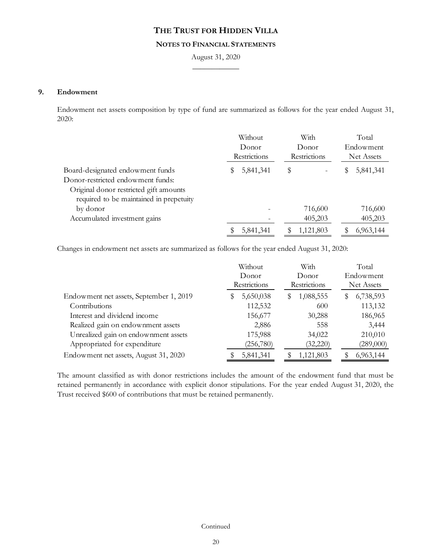### **NOTES TO FINANCIAL STATEMENTS**

August 31, 2020  $\overline{\phantom{a}}$ 

### **9. Endowment**

Endowment net assets composition by type of fund are summarized as follows for the year ended August 31, 2020:

|                                                                                                                                                            | Without<br>Donor<br>Restrictions | With<br>Donor<br>Restrictions | Total<br>Endowment<br>Net Assets |
|------------------------------------------------------------------------------------------------------------------------------------------------------------|----------------------------------|-------------------------------|----------------------------------|
| Board-designated endowment funds<br>Donor-restricted endowment funds:<br>Original donor restricted gift amounts<br>required to be maintained in prepetuity | 5,841,341                        | \$                            | 5,841,341<br>y                   |
| by donor<br>Accumulated investment gains                                                                                                                   |                                  | 716,600<br>405,203            | 716,600<br>405,203               |
|                                                                                                                                                            | 5,841,341                        | 1,121,803                     | 6,963,144                        |

Changes in endowment net assets are summarized as follows for the year ended August 31, 2020:

|                                         | Without<br>Donor<br>Restrictions | With<br>Donor<br>Restrictions | Total<br>Endowment<br>Net Assets |
|-----------------------------------------|----------------------------------|-------------------------------|----------------------------------|
| Endowment net assets, September 1, 2019 | 5,650,038                        | 1,088,555<br>S                | 6,738,593<br>S                   |
| Contributions                           | 112,532                          | 600                           | 113,132                          |
| Interest and dividend income            | 156,677                          | 30,288                        | 186,965                          |
| Realized gain on endownment assets      | 2,886                            | 558                           | 3,444                            |
| Unrealized gain on endownment assets    | 175,988                          | 34,022                        | 210,010                          |
| Appropriated for expenditure            | (256,780)                        | (32, 220)                     | (289,000)                        |
| Endowment net assets, August 31, 2020   | 5,841,341                        | 1,121,803                     | 6,963,144                        |

The amount classified as with donor restrictions includes the amount of the endowment fund that must be retained permanently in accordance with explicit donor stipulations. For the year ended August 31, 2020, the Trust received \$600 of contributions that must be retained permanently.